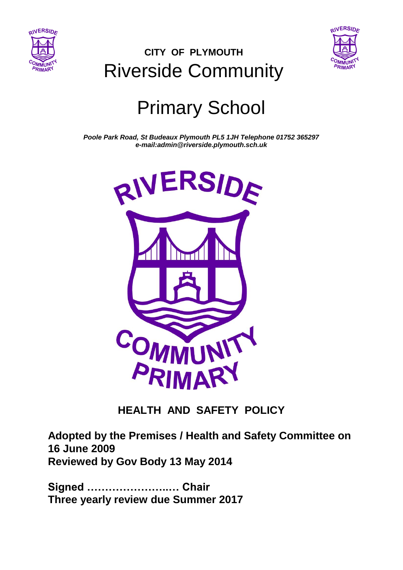



## **CITY OF PLYMOUTH** Riverside Community

# Primary School

*Poole Park Road, St Budeaux Plymouth PL5 1JH Telephone 01752 365297 e-mail:admin@riverside.plymouth.sch.uk*



#### **HEALTH AND SAFETY POLICY**

**Adopted by the Premises / Health and Safety Committee on 16 June 2009 Reviewed by Gov Body 13 May 2014**

**Signed …………………..… Chair Three yearly review due Summer 2017**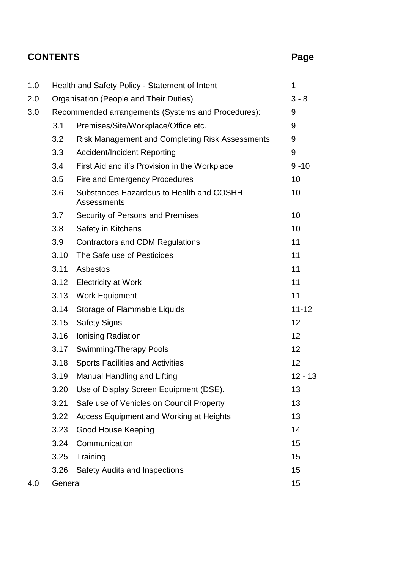### **CONTENTS Page**

| 1.0 | Health and Safety Policy - Statement of Intent     |                                                         | 1         |
|-----|----------------------------------------------------|---------------------------------------------------------|-----------|
| 2.0 |                                                    | Organisation (People and Their Duties)                  | $3 - 8$   |
| 3.0 | Recommended arrangements (Systems and Procedures): |                                                         | 9         |
|     | 3.1                                                | Premises/Site/Workplace/Office etc.                     | 9         |
|     | 3.2                                                | <b>Risk Management and Completing Risk Assessments</b>  | 9         |
|     | 3.3                                                | <b>Accident/Incident Reporting</b>                      | 9         |
|     | 3.4                                                | First Aid and it's Provision in the Workplace           | $9 - 10$  |
|     | 3.5                                                | Fire and Emergency Procedures                           | 10        |
|     | 3.6                                                | Substances Hazardous to Health and COSHH<br>Assessments | 10        |
|     | 3.7                                                | Security of Persons and Premises                        | 10        |
|     | 3.8                                                | Safety in Kitchens                                      | 10        |
|     | 3.9                                                | <b>Contractors and CDM Regulations</b>                  | 11        |
|     | 3.10                                               | The Safe use of Pesticides                              | 11        |
|     | 3.11                                               | Asbestos                                                | 11        |
|     | 3.12                                               | <b>Electricity at Work</b>                              | 11        |
|     | 3.13                                               | <b>Work Equipment</b>                                   | 11        |
|     | 3.14                                               | Storage of Flammable Liquids                            | $11 - 12$ |
|     | 3.15                                               | <b>Safety Signs</b>                                     | 12        |
|     | 3.16                                               | Ionising Radiation                                      | 12        |
|     | 3.17                                               | Swimming/Therapy Pools                                  | 12        |
|     | 3.18                                               | <b>Sports Facilities and Activities</b>                 | 12        |
|     | 3.19                                               | <b>Manual Handling and Lifting</b>                      | $12 - 13$ |
|     | 3.20                                               | Use of Display Screen Equipment (DSE).                  | 13        |
|     | 3.21                                               | Safe use of Vehicles on Council Property                | 13        |
|     | 3.22                                               | <b>Access Equipment and Working at Heights</b>          | 13        |
|     | 3.23                                               | Good House Keeping                                      | 14        |
|     | 3.24                                               | Communication                                           | 15        |
|     | 3.25                                               | Training                                                | 15        |
|     | 3.26                                               | <b>Safety Audits and Inspections</b>                    | 15        |
| 4.0 | General                                            |                                                         | 15        |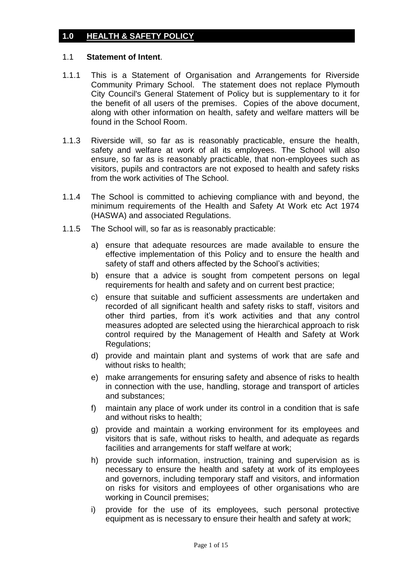#### **1.0 HEALTH & SAFETY POLICY**

#### 1.1 **Statement of Intent**.

- 1.1.1 This is a Statement of Organisation and Arrangements for Riverside Community Primary School. The statement does not replace Plymouth City Council's General Statement of Policy but is supplementary to it for the benefit of all users of the premises. Copies of the above document, along with other information on health, safety and welfare matters will be found in the School Room.
- 1.1.3 Riverside will, so far as is reasonably practicable, ensure the health, safety and welfare at work of all its employees. The School will also ensure, so far as is reasonably practicable, that non-employees such as visitors, pupils and contractors are not exposed to health and safety risks from the work activities of The School.
- 1.1.4 The School is committed to achieving compliance with and beyond, the minimum requirements of the Health and Safety At Work etc Act 1974 (HASWA) and associated Regulations.
- 1.1.5 The School will, so far as is reasonably practicable:
	- a) ensure that adequate resources are made available to ensure the effective implementation of this Policy and to ensure the health and safety of staff and others affected by the School's activities;
	- b) ensure that a advice is sought from competent persons on legal requirements for health and safety and on current best practice;
	- c) ensure that suitable and sufficient assessments are undertaken and recorded of all significant health and safety risks to staff, visitors and other third parties, from it's work activities and that any control measures adopted are selected using the hierarchical approach to risk control required by the Management of Health and Safety at Work Regulations;
	- d) provide and maintain plant and systems of work that are safe and without risks to health;
	- e) make arrangements for ensuring safety and absence of risks to health in connection with the use, handling, storage and transport of articles and substances;
	- f) maintain any place of work under its control in a condition that is safe and without risks to health;
	- g) provide and maintain a working environment for its employees and visitors that is safe, without risks to health, and adequate as regards facilities and arrangements for staff welfare at work;
	- h) provide such information, instruction, training and supervision as is necessary to ensure the health and safety at work of its employees and governors, including temporary staff and visitors, and information on risks for visitors and employees of other organisations who are working in Council premises;
	- i) provide for the use of its employees, such personal protective equipment as is necessary to ensure their health and safety at work;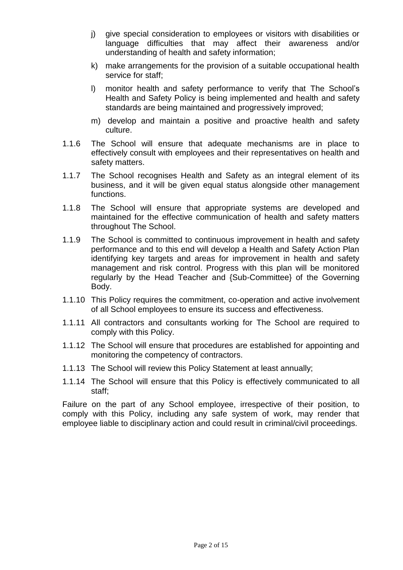- j) give special consideration to employees or visitors with disabilities or language difficulties that may affect their awareness and/or understanding of health and safety information;
- k) make arrangements for the provision of a suitable occupational health service for staff;
- l) monitor health and safety performance to verify that The School's Health and Safety Policy is being implemented and health and safety standards are being maintained and progressively improved;
- m) develop and maintain a positive and proactive health and safety culture.
- 1.1.6 The School will ensure that adequate mechanisms are in place to effectively consult with employees and their representatives on health and safety matters.
- 1.1.7 The School recognises Health and Safety as an integral element of its business, and it will be given equal status alongside other management functions.
- 1.1.8 The School will ensure that appropriate systems are developed and maintained for the effective communication of health and safety matters throughout The School.
- 1.1.9 The School is committed to continuous improvement in health and safety performance and to this end will develop a Health and Safety Action Plan identifying key targets and areas for improvement in health and safety management and risk control. Progress with this plan will be monitored regularly by the Head Teacher and {Sub-Committee} of the Governing Body.
- 1.1.10 This Policy requires the commitment, co-operation and active involvement of all School employees to ensure its success and effectiveness.
- 1.1.11 All contractors and consultants working for The School are required to comply with this Policy.
- 1.1.12 The School will ensure that procedures are established for appointing and monitoring the competency of contractors.
- 1.1.13 The School will review this Policy Statement at least annually;
- 1.1.14 The School will ensure that this Policy is effectively communicated to all staff;

Failure on the part of any School employee, irrespective of their position, to comply with this Policy, including any safe system of work, may render that employee liable to disciplinary action and could result in criminal/civil proceedings.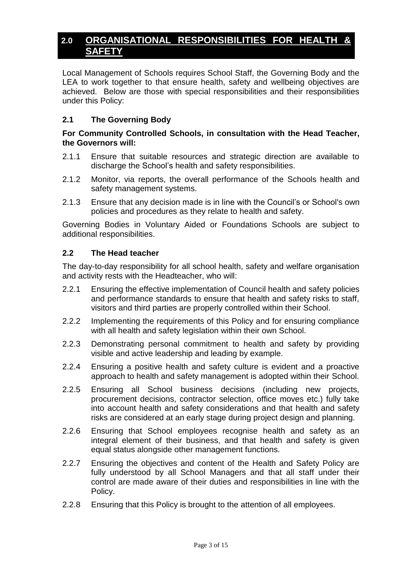#### **2.0 ORGANISATIONAL RESPONSIBILITIES FOR HEALTH & SAFETY**

Local Management of Schools requires School Staff, the Governing Body and the LEA to work together to that ensure health, safety and wellbeing objectives are achieved. Below are those with special responsibilities and their responsibilities under this Policy:

#### **2.1 The Governing Body**

#### **For Community Controlled Schools, in consultation with the Head Teacher, the Governors will:**

- 2.1.1 Ensure that suitable resources and strategic direction are available to discharge the School's health and safety responsibilities.
- 2.1.2 Monitor, via reports, the overall performance of the Schools health and safety management systems.
- 2.1.3 Ensure that any decision made is in line with the Council's or School's own policies and procedures as they relate to health and safety.

Governing Bodies in Voluntary Aided or Foundations Schools are subject to additional responsibilities.

#### **2.2 The Head teacher**

The day-to-day responsibility for all school health, safety and welfare organisation and activity rests with the Headteacher, who will:

- 2.2.1 Ensuring the effective implementation of Council health and safety policies and performance standards to ensure that health and safety risks to staff, visitors and third parties are properly controlled within their School.
- 2.2.2 Implementing the requirements of this Policy and for ensuring compliance with all health and safety legislation within their own School.
- 2.2.3 Demonstrating personal commitment to health and safety by providing visible and active leadership and leading by example.
- 2.2.4 Ensuring a positive health and safety culture is evident and a proactive approach to health and safety management is adopted within their School.
- 2.2.5 Ensuring all School business decisions (including new projects, procurement decisions, contractor selection, office moves etc.) fully take into account health and safety considerations and that health and safety risks are considered at an early stage during project design and planning.
- 2.2.6 Ensuring that School employees recognise health and safety as an integral element of their business, and that health and safety is given equal status alongside other management functions.
- 2.2.7 Ensuring the objectives and content of the Health and Safety Policy are fully understood by all School Managers and that all staff under their control are made aware of their duties and responsibilities in line with the Policy.
- 2.2.8 Ensuring that this Policy is brought to the attention of all employees.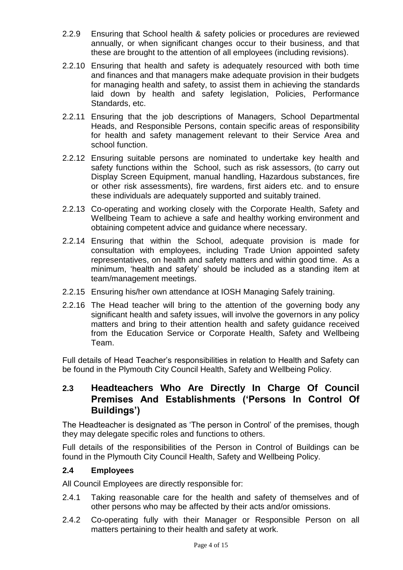- 2.2.9 Ensuring that School health & safety policies or procedures are reviewed annually, or when significant changes occur to their business, and that these are brought to the attention of all employees (including revisions).
- 2.2.10 Ensuring that health and safety is adequately resourced with both time and finances and that managers make adequate provision in their budgets for managing health and safety, to assist them in achieving the standards laid down by health and safety legislation, Policies, Performance Standards, etc.
- 2.2.11 Ensuring that the job descriptions of Managers, School Departmental Heads, and Responsible Persons, contain specific areas of responsibility for health and safety management relevant to their Service Area and school function.
- 2.2.12 Ensuring suitable persons are nominated to undertake key health and safety functions within the School, such as risk assessors, (to carry out Display Screen Equipment, manual handling, Hazardous substances, fire or other risk assessments), fire wardens, first aiders etc. and to ensure these individuals are adequately supported and suitably trained.
- 2.2.13 Co-operating and working closely with the Corporate Health, Safety and Wellbeing Team to achieve a safe and healthy working environment and obtaining competent advice and guidance where necessary.
- 2.2.14 Ensuring that within the School, adequate provision is made for consultation with employees, including Trade Union appointed safety representatives, on health and safety matters and within good time. As a minimum, 'health and safety' should be included as a standing item at team/management meetings.
- 2.2.15 Ensuring his/her own attendance at IOSH Managing Safely training.
- 2.2.16 The Head teacher will bring to the attention of the governing body any significant health and safety issues, will involve the governors in any policy matters and bring to their attention health and safety guidance received from the Education Service or Corporate Health, Safety and Wellbeing Team.

Full details of Head Teacher's responsibilities in relation to Health and Safety can be found in the Plymouth City Council Health, Safety and Wellbeing Policy.

#### **2.3 Headteachers Who Are Directly In Charge Of Council Premises And Establishments ('Persons In Control Of Buildings')**

The Headteacher is designated as 'The person in Control' of the premises, though they may delegate specific roles and functions to others.

Full details of the responsibilities of the Person in Control of Buildings can be found in the Plymouth City Council Health, Safety and Wellbeing Policy.

#### **2.4 Employees**

All Council Employees are directly responsible for:

- 2.4.1 Taking reasonable care for the health and safety of themselves and of other persons who may be affected by their acts and/or omissions.
- 2.4.2 Co-operating fully with their Manager or Responsible Person on all matters pertaining to their health and safety at work.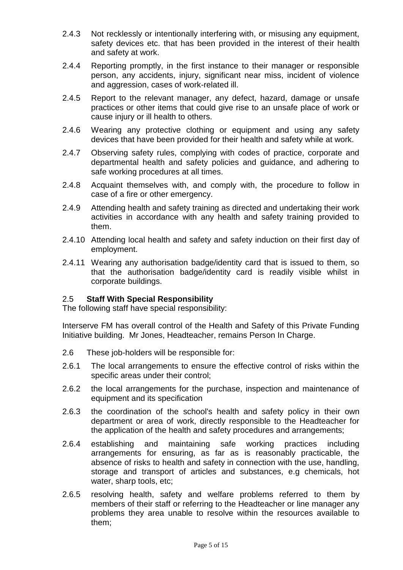- 2.4.3 Not recklessly or intentionally interfering with, or misusing any equipment, safety devices etc. that has been provided in the interest of their health and safety at work.
- 2.4.4 Reporting promptly, in the first instance to their manager or responsible person, any accidents, injury, significant near miss, incident of violence and aggression, cases of work-related ill.
- 2.4.5 Report to the relevant manager, any defect, hazard, damage or unsafe practices or other items that could give rise to an unsafe place of work or cause injury or ill health to others.
- 2.4.6 Wearing any protective clothing or equipment and using any safety devices that have been provided for their health and safety while at work.
- 2.4.7 Observing safety rules, complying with codes of practice, corporate and departmental health and safety policies and guidance, and adhering to safe working procedures at all times.
- 2.4.8 Acquaint themselves with, and comply with, the procedure to follow in case of a fire or other emergency.
- 2.4.9 Attending health and safety training as directed and undertaking their work activities in accordance with any health and safety training provided to them.
- 2.4.10 Attending local health and safety and safety induction on their first day of employment.
- 2.4.11 Wearing any authorisation badge/identity card that is issued to them, so that the authorisation badge/identity card is readily visible whilst in corporate buildings.

#### 2.5 **Staff With Special Responsibility**

The following staff have special responsibility:

Interserve FM has overall control of the Health and Safety of this Private Funding Initiative building. Mr Jones, Headteacher, remains Person In Charge.

- 2.6 These job-holders will be responsible for:
- 2.6.1 The local arrangements to ensure the effective control of risks within the specific areas under their control;
- 2.6.2 the local arrangements for the purchase, inspection and maintenance of equipment and its specification
- 2.6.3 the coordination of the school's health and safety policy in their own department or area of work, directly responsible to the Headteacher for the application of the health and safety procedures and arrangements;
- 2.6.4 establishing and maintaining safe working practices including arrangements for ensuring, as far as is reasonably practicable, the absence of risks to health and safety in connection with the use, handling, storage and transport of articles and substances, e.g chemicals, hot water, sharp tools, etc;
- 2.6.5 resolving health, safety and welfare problems referred to them by members of their staff or referring to the Headteacher or line manager any problems they area unable to resolve within the resources available to them;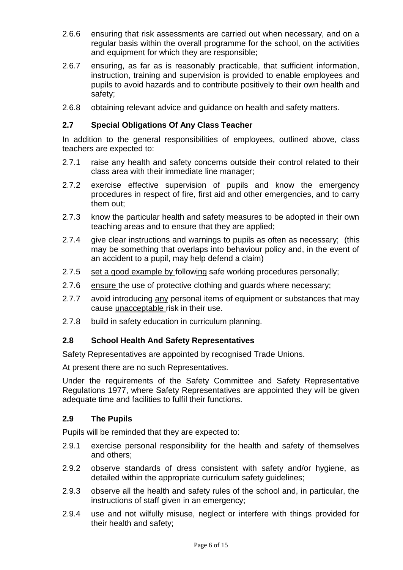- 2.6.6 ensuring that risk assessments are carried out when necessary, and on a regular basis within the overall programme for the school, on the activities and equipment for which they are responsible;
- 2.6.7 ensuring, as far as is reasonably practicable, that sufficient information, instruction, training and supervision is provided to enable employees and pupils to avoid hazards and to contribute positively to their own health and safety;
- 2.6.8 obtaining relevant advice and guidance on health and safety matters.

#### **2.7 Special Obligations Of Any Class Teacher**

In addition to the general responsibilities of employees, outlined above, class teachers are expected to:

- 2.7.1 raise any health and safety concerns outside their control related to their class area with their immediate line manager;
- 2.7.2 exercise effective supervision of pupils and know the emergency procedures in respect of fire, first aid and other emergencies, and to carry them out;
- 2.7.3 know the particular health and safety measures to be adopted in their own teaching areas and to ensure that they are applied;
- 2.7.4 give clear instructions and warnings to pupils as often as necessary; (this may be something that overlaps into behaviour policy and, in the event of an accident to a pupil, may help defend a claim)
- 2.7.5 set a good example by following safe working procedures personally;
- 2.7.6 ensure the use of protective clothing and guards where necessary;
- 2.7.7 avoid introducing any personal items of equipment or substances that may cause unacceptable risk in their use.
- 2.7.8 build in safety education in curriculum planning.

#### **2.8 School Health And Safety Representatives**

Safety Representatives are appointed by recognised Trade Unions.

At present there are no such Representatives.

Under the requirements of the Safety Committee and Safety Representative Regulations 1977, where Safety Representatives are appointed they will be given adequate time and facilities to fulfil their functions.

#### **2.9 The Pupils**

Pupils will be reminded that they are expected to:

- 2.9.1 exercise personal responsibility for the health and safety of themselves and others;
- 2.9.2 observe standards of dress consistent with safety and/or hygiene, as detailed within the appropriate curriculum safety guidelines;
- 2.9.3 observe all the health and safety rules of the school and, in particular, the instructions of staff given in an emergency;
- 2.9.4 use and not wilfully misuse, neglect or interfere with things provided for their health and safety;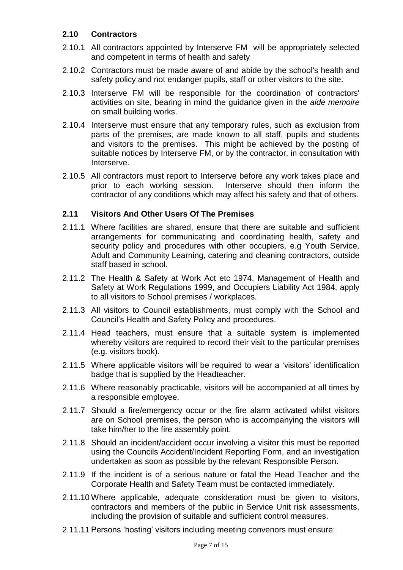#### **2.10 Contractors**

- 2.10.1 All contractors appointed by Interserve FM will be appropriately selected and competent in terms of health and safety
- 2.10.2 Contractors must be made aware of and abide by the school's health and safety policy and not endanger pupils, staff or other visitors to the site.
- 2.10.3 Interserve FM will be responsible for the coordination of contractors' activities on site, bearing in mind the guidance given in the *aide memoire* on small building works.
- 2.10.4 Interserve must ensure that any temporary rules, such as exclusion from parts of the premises, are made known to all staff, pupils and students and visitors to the premises. This might be achieved by the posting of suitable notices by Interserve FM, or by the contractor, in consultation with Interserve.
- 2.10.5 All contractors must report to Interserve before any work takes place and prior to each working session. Interserve should then inform the contractor of any conditions which may affect his safety and that of others.

#### **2.11 Visitors And Other Users Of The Premises**

- 2.11.1 Where facilities are shared, ensure that there are suitable and sufficient arrangements for communicating and coordinating health, safety and security policy and procedures with other occupiers, e.g Youth Service, Adult and Community Learning, catering and cleaning contractors, outside staff based in school.
- 2.11.2 The Health & Safety at Work Act etc 1974, Management of Health and Safety at Work Regulations 1999, and Occupiers Liability Act 1984, apply to all visitors to School premises / workplaces.
- 2.11.3 All visitors to Council establishments, must comply with the School and Council's Health and Safety Policy and procedures.
- 2.11.4 Head teachers, must ensure that a suitable system is implemented whereby visitors are required to record their visit to the particular premises (e.g. visitors book).
- 2.11.5 Where applicable visitors will be required to wear a 'visitors' identification badge that is supplied by the Headteacher.
- 2.11.6 Where reasonably practicable, visitors will be accompanied at all times by a responsible employee.
- 2.11.7 Should a fire/emergency occur or the fire alarm activated whilst visitors are on School premises, the person who is accompanying the visitors will take him/her to the fire assembly point.
- 2.11.8 Should an incident/accident occur involving a visitor this must be reported using the Councils Accident/Incident Reporting Form, and an investigation undertaken as soon as possible by the relevant Responsible Person.
- 2.11.9 If the incident is of a serious nature or fatal the Head Teacher and the Corporate Health and Safety Team must be contacted immediately.
- 2.11.10 Where applicable, adequate consideration must be given to visitors, contractors and members of the public in Service Unit risk assessments, including the provision of suitable and sufficient control measures.
- 2.11.11 Persons 'hosting' visitors including meeting convenors must ensure: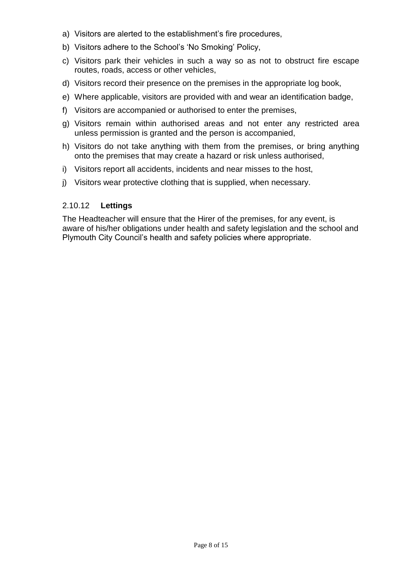- a) Visitors are alerted to the establishment's fire procedures,
- b) Visitors adhere to the School's 'No Smoking' Policy,
- c) Visitors park their vehicles in such a way so as not to obstruct fire escape routes, roads, access or other vehicles,
- d) Visitors record their presence on the premises in the appropriate log book,
- e) Where applicable, visitors are provided with and wear an identification badge,
- f) Visitors are accompanied or authorised to enter the premises,
- g) Visitors remain within authorised areas and not enter any restricted area unless permission is granted and the person is accompanied,
- h) Visitors do not take anything with them from the premises, or bring anything onto the premises that may create a hazard or risk unless authorised,
- i) Visitors report all accidents, incidents and near misses to the host,
- j) Visitors wear protective clothing that is supplied, when necessary.

#### 2.10.12 **Lettings**

The Headteacher will ensure that the Hirer of the premises, for any event, is aware of his/her obligations under health and safety legislation and the school and Plymouth City Council's health and safety policies where appropriate.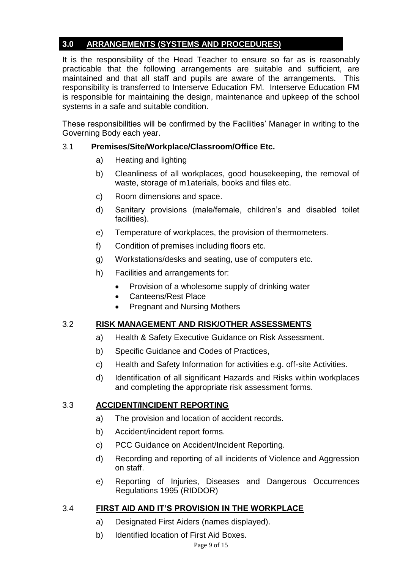#### **3.0 ARRANGEMENTS (SYSTEMS AND PROCEDURES)**

It is the responsibility of the Head Teacher to ensure so far as is reasonably practicable that the following arrangements are suitable and sufficient, are maintained and that all staff and pupils are aware of the arrangements. This responsibility is transferred to Interserve Education FM. Interserve Education FM is responsible for maintaining the design, maintenance and upkeep of the school systems in a safe and suitable condition.

These responsibilities will be confirmed by the Facilities' Manager in writing to the Governing Body each year.

#### 3.1 **Premises/Site/Workplace/Classroom/Office Etc.**

- a) Heating and lighting
- b) Cleanliness of all workplaces, good housekeeping, the removal of waste, storage of m1aterials, books and files etc.
- c) Room dimensions and space.
- d) Sanitary provisions (male/female, children's and disabled toilet facilities).
- e) Temperature of workplaces, the provision of thermometers.
- f) Condition of premises including floors etc.
- g) Workstations/desks and seating, use of computers etc.
- h) Facilities and arrangements for:
	- Provision of a wholesome supply of drinking water
	- Canteens/Rest Place
	- Pregnant and Nursing Mothers

#### 3.2 **RISK MANAGEMENT AND RISK/OTHER ASSESSMENTS**

- a) Health & Safety Executive Guidance on Risk Assessment.
- b) Specific Guidance and Codes of Practices,
- c) Health and Safety Information for activities e.g. off-site Activities.
- d) Identification of all significant Hazards and Risks within workplaces and completing the appropriate risk assessment forms.

#### 3.3 **ACCIDENT/INCIDENT REPORTING**

- a) The provision and location of accident records.
- b) Accident/incident report forms.
- c) PCC Guidance on Accident/Incident Reporting.
- d) Recording and reporting of all incidents of Violence and Aggression on staff.
- e) Reporting of Injuries, Diseases and Dangerous Occurrences Regulations 1995 (RIDDOR)

#### 3.4 **FIRST AID AND IT'S PROVISION IN THE WORKPLACE**

- a) Designated First Aiders (names displayed).
- b) Identified location of First Aid Boxes.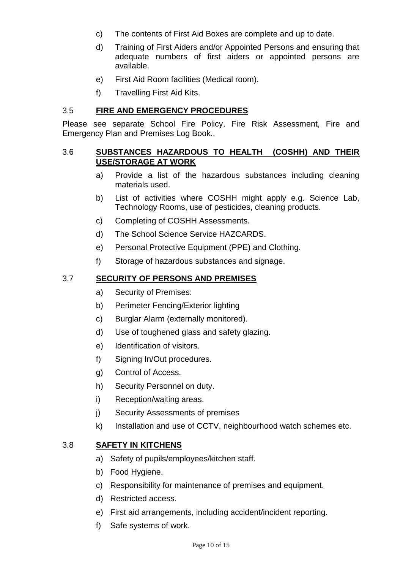- c) The contents of First Aid Boxes are complete and up to date.
- d) Training of First Aiders and/or Appointed Persons and ensuring that adequate numbers of first aiders or appointed persons are available.
- e) First Aid Room facilities (Medical room).
- f) Travelling First Aid Kits.

#### 3.5 **FIRE AND EMERGENCY PROCEDURES**

Please see separate School Fire Policy, Fire Risk Assessment, Fire and Emergency Plan and Premises Log Book..

#### 3.6 **SUBSTANCES HAZARDOUS TO HEALTH (COSHH) AND THEIR USE/STORAGE AT WORK**

- a) Provide a list of the hazardous substances including cleaning materials used.
- b) List of activities where COSHH might apply e.g. Science Lab, Technology Rooms, use of pesticides, cleaning products.
- c) Completing of COSHH Assessments.
- d) The School Science Service HAZCARDS.
- e) Personal Protective Equipment (PPE) and Clothing.
- f) Storage of hazardous substances and signage.

#### 3.7 **SECURITY OF PERSONS AND PREMISES**

- a) Security of Premises:
- b) Perimeter Fencing/Exterior lighting
- c) Burglar Alarm (externally monitored).
- d) Use of toughened glass and safety glazing.
- e) Identification of visitors.
- f) Signing In/Out procedures.
- g) Control of Access.
- h) Security Personnel on duty.
- i) Reception/waiting areas.
- j) Security Assessments of premises
- k) Installation and use of CCTV, neighbourhood watch schemes etc.

#### 3.8 **SAFETY IN KITCHENS**

- a) Safety of pupils/employees/kitchen staff.
- b) Food Hygiene.
- c) Responsibility for maintenance of premises and equipment.
- d) Restricted access.
- e) First aid arrangements, including accident/incident reporting.
- f) Safe systems of work.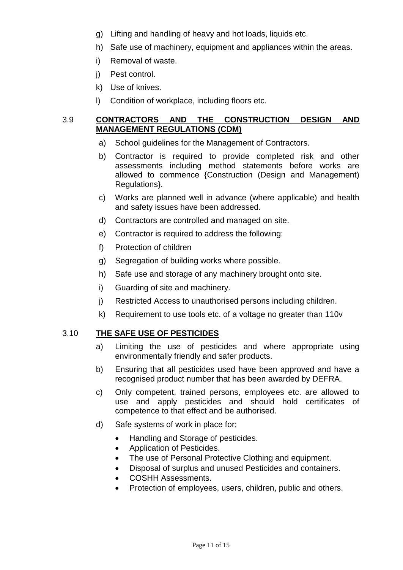- g) Lifting and handling of heavy and hot loads, liquids etc.
- h) Safe use of machinery, equipment and appliances within the areas.
- i) Removal of waste.
- j) Pest control.
- k) Use of knives.
- l) Condition of workplace, including floors etc.

#### 3.9 **CONTRACTORS AND THE CONSTRUCTION DESIGN AND MANAGEMENT REGULATIONS (CDM)**

- a) School guidelines for the Management of Contractors.
- b) Contractor is required to provide completed risk and other assessments including method statements before works are allowed to commence {Construction (Design and Management) Regulations}.
- c) Works are planned well in advance (where applicable) and health and safety issues have been addressed.
- d) Contractors are controlled and managed on site.
- e) Contractor is required to address the following:
- f) Protection of children
- g) Segregation of building works where possible.
- h) Safe use and storage of any machinery brought onto site.
- i) Guarding of site and machinery.
- j) Restricted Access to unauthorised persons including children.
- k) Requirement to use tools etc. of a voltage no greater than 110v

#### 3.10 **THE SAFE USE OF PESTICIDES**

- a) Limiting the use of pesticides and where appropriate using environmentally friendly and safer products.
- b) Ensuring that all pesticides used have been approved and have a recognised product number that has been awarded by DEFRA.
- c) Only competent, trained persons, employees etc. are allowed to use and apply pesticides and should hold certificates of competence to that effect and be authorised.
- d) Safe systems of work in place for;
	- Handling and Storage of pesticides.
	- Application of Pesticides.
	- The use of Personal Protective Clothing and equipment.
	- Disposal of surplus and unused Pesticides and containers.
	- COSHH Assessments.
	- Protection of employees, users, children, public and others.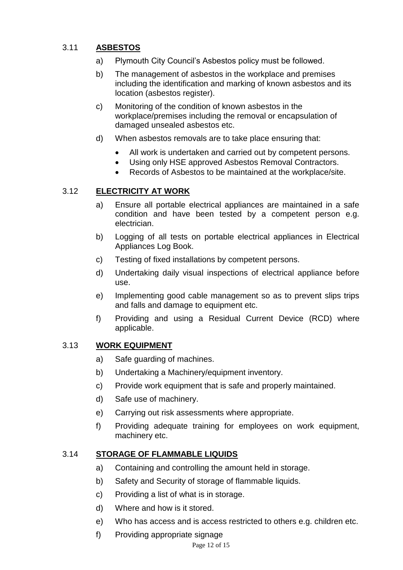#### 3.11 **ASBESTOS**

- a) Plymouth City Council's Asbestos policy must be followed.
- b) The management of asbestos in the workplace and premises including the identification and marking of known asbestos and its location (asbestos register).
- c) Monitoring of the condition of known asbestos in the workplace/premises including the removal or encapsulation of damaged unsealed asbestos etc.
- d) When asbestos removals are to take place ensuring that:
	- All work is undertaken and carried out by competent persons.
	- Using only HSE approved Asbestos Removal Contractors.
	- Records of Asbestos to be maintained at the workplace/site.

#### 3.12 **ELECTRICITY AT WORK**

- a) Ensure all portable electrical appliances are maintained in a safe condition and have been tested by a competent person e.g. electrician.
- b) Logging of all tests on portable electrical appliances in Electrical Appliances Log Book.
- c) Testing of fixed installations by competent persons.
- d) Undertaking daily visual inspections of electrical appliance before use.
- e) Implementing good cable management so as to prevent slips trips and falls and damage to equipment etc.
- f) Providing and using a Residual Current Device (RCD) where applicable.

#### 3.13 **WORK EQUIPMENT**

- a) Safe guarding of machines.
- b) Undertaking a Machinery/equipment inventory.
- c) Provide work equipment that is safe and properly maintained.
- d) Safe use of machinery.
- e) Carrying out risk assessments where appropriate.
- f) Providing adequate training for employees on work equipment, machinery etc.

#### 3.14 **STORAGE OF FLAMMABLE LIQUIDS**

- a) Containing and controlling the amount held in storage.
- b) Safety and Security of storage of flammable liquids.
- c) Providing a list of what is in storage.
- d) Where and how is it stored.
- e) Who has access and is access restricted to others e.g. children etc.
- f) Providing appropriate signage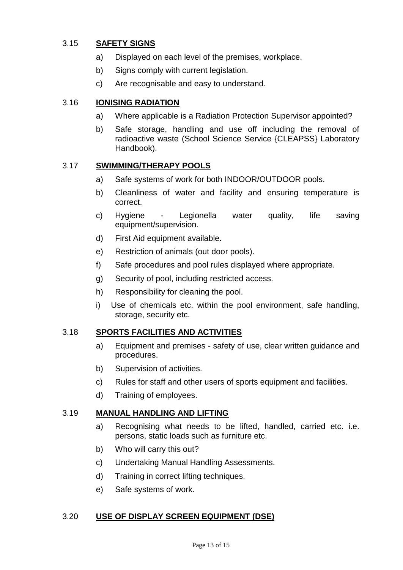#### 3.15 **SAFETY SIGNS**

- a) Displayed on each level of the premises, workplace.
- b) Signs comply with current legislation.
- c) Are recognisable and easy to understand.

#### 3.16 **IONISING RADIATION**

- a) Where applicable is a Radiation Protection Supervisor appointed?
- b) Safe storage, handling and use off including the removal of radioactive waste (School Science Service {CLEAPSS} Laboratory Handbook).

#### 3.17 **SWIMMING/THERAPY POOLS**

- a) Safe systems of work for both INDOOR/OUTDOOR pools.
- b) Cleanliness of water and facility and ensuring temperature is correct.
- c) Hygiene Legionella water quality, life saving equipment/supervision.
- d) First Aid equipment available.
- e) Restriction of animals (out door pools).
- f) Safe procedures and pool rules displayed where appropriate.
- g) Security of pool, including restricted access.
- h) Responsibility for cleaning the pool.
- i) Use of chemicals etc. within the pool environment, safe handling, storage, security etc.

#### 3.18 **SPORTS FACILITIES AND ACTIVITIES**

- a) Equipment and premises safety of use, clear written guidance and procedures.
- b) Supervision of activities.
- c) Rules for staff and other users of sports equipment and facilities.
- d) Training of employees.

#### 3.19 **MANUAL HANDLING AND LIFTING**

- a) Recognising what needs to be lifted, handled, carried etc. i.e. persons, static loads such as furniture etc.
- b) Who will carry this out?
- c) Undertaking Manual Handling Assessments.
- d) Training in correct lifting techniques.
- e) Safe systems of work.

#### 3.20 **USE OF DISPLAY SCREEN EQUIPMENT (DSE)**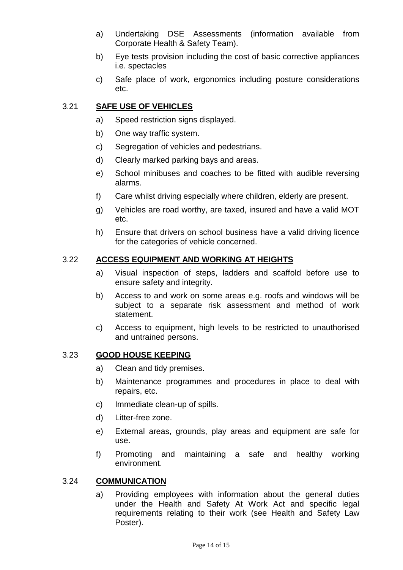- a) Undertaking DSE Assessments (information available from Corporate Health & Safety Team).
- b) Eye tests provision including the cost of basic corrective appliances i.e. spectacles
- c) Safe place of work, ergonomics including posture considerations etc.

#### 3.21 **SAFE USE OF VEHICLES**

- a) Speed restriction signs displayed.
- b) One way traffic system.
- c) Segregation of vehicles and pedestrians.
- d) Clearly marked parking bays and areas.
- e) School minibuses and coaches to be fitted with audible reversing alarms.
- f) Care whilst driving especially where children, elderly are present.
- g) Vehicles are road worthy, are taxed, insured and have a valid MOT etc.
- h) Ensure that drivers on school business have a valid driving licence for the categories of vehicle concerned.

#### 3.22 **ACCESS EQUIPMENT AND WORKING AT HEIGHTS**

- a) Visual inspection of steps, ladders and scaffold before use to ensure safety and integrity.
- b) Access to and work on some areas e.g. roofs and windows will be subject to a separate risk assessment and method of work statement.
- c) Access to equipment, high levels to be restricted to unauthorised and untrained persons.

#### 3.23 **GOOD HOUSE KEEPING**

- a) Clean and tidy premises.
- b) Maintenance programmes and procedures in place to deal with repairs, etc.
- c) Immediate clean-up of spills.
- d) Litter-free zone.
- e) External areas, grounds, play areas and equipment are safe for use.
- f) Promoting and maintaining a safe and healthy working environment.

#### 3.24 **COMMUNICATION**

a) Providing employees with information about the general duties under the Health and Safety At Work Act and specific legal requirements relating to their work (see Health and Safety Law Poster).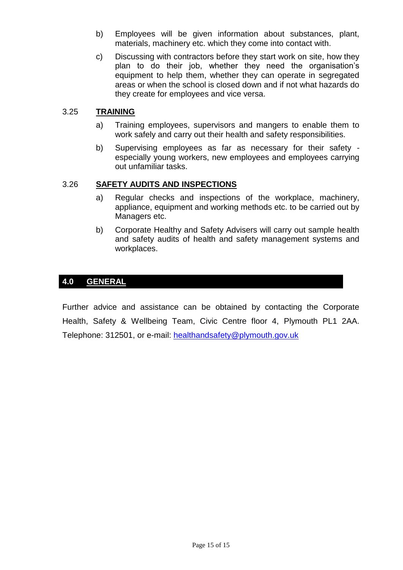- b) Employees will be given information about substances, plant, materials, machinery etc. which they come into contact with.
- c) Discussing with contractors before they start work on site, how they plan to do their job, whether they need the organisation's equipment to help them, whether they can operate in segregated areas or when the school is closed down and if not what hazards do they create for employees and vice versa.

#### 3.25 **TRAINING**

- a) Training employees, supervisors and mangers to enable them to work safely and carry out their health and safety responsibilities.
- b) Supervising employees as far as necessary for their safety especially young workers, new employees and employees carrying out unfamiliar tasks.

#### 3.26 **SAFETY AUDITS AND INSPECTIONS**

- a) Regular checks and inspections of the workplace, machinery, appliance, equipment and working methods etc. to be carried out by Managers etc.
- b) Corporate Healthy and Safety Advisers will carry out sample health and safety audits of health and safety management systems and workplaces.

#### **4.0 GENERAL**

Further advice and assistance can be obtained by contacting the Corporate Health, Safety & Wellbeing Team, Civic Centre floor 4, Plymouth PL1 2AA. Telephone: 312501, or e-mail: [healthandsafety@plymouth.gov.uk](mailto:healthandsafety@plymouth.gov.uk)